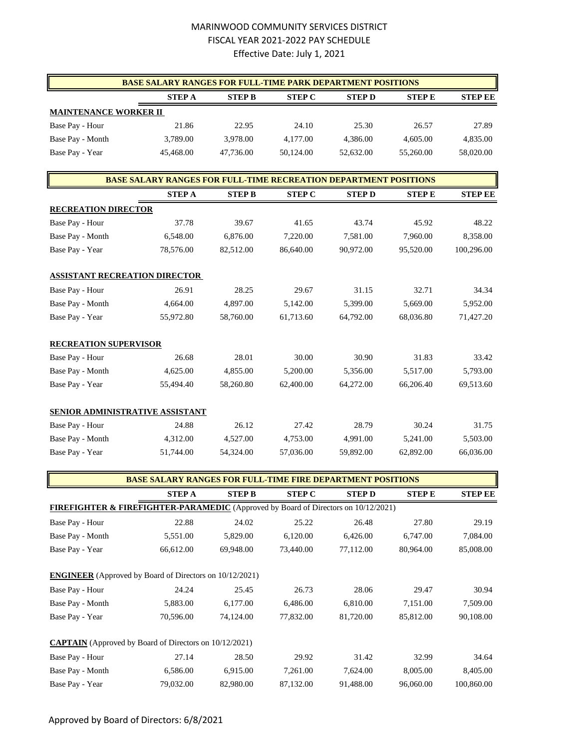## MARINWOOD COMMUNITY SERVICES DISTRICT FISCAL YEAR 2021-2022 PAY SCHEDULE Effective Date: July 1, 2021

|                              | <b>BASE SALARY RANGES FOR FULL-TIME PARK DEPARTMENT POSITIONS</b> |               |               |              |              |                |
|------------------------------|-------------------------------------------------------------------|---------------|---------------|--------------|--------------|----------------|
|                              | <b>STEP A</b>                                                     | <b>STEP B</b> | <b>STEP C</b> | <b>STEPD</b> | <b>STEPE</b> | <b>STEP EE</b> |
| <b>MAINTENANCE WORKER II</b> |                                                                   |               |               |              |              |                |
| Base Pay - Hour              | 21.86                                                             | 22.95         | 24.10         | 25.30        | 26.57        | 27.89          |
| Base Pay - Month             | 3.789.00                                                          | 3.978.00      | 4,177.00      | 4.386.00     | 4,605.00     | 4,835.00       |
| Base Pay - Year              | 45,468.00                                                         | 47.736.00     | 50,124.00     | 52.632.00    | 55,260.00    | 58,020.00      |

|                                        | <b>BASE SALARY RANGES FOR FULL-TIME RECREATION DEPARTMENT POSITIONS</b> |               |               |              |              |                |
|----------------------------------------|-------------------------------------------------------------------------|---------------|---------------|--------------|--------------|----------------|
|                                        | <b>STEP A</b>                                                           | <b>STEP B</b> | <b>STEP C</b> | <b>STEPD</b> | <b>STEPE</b> | <b>STEP EE</b> |
| <b>RECREATION DIRECTOR</b>             |                                                                         |               |               |              |              |                |
| Base Pay - Hour                        | 37.78                                                                   | 39.67         | 41.65         | 43.74        | 45.92        | 48.22          |
| Base Pay - Month                       | 6,548.00                                                                | 6,876.00      | 7,220.00      | 7,581.00     | 7,960.00     | 8,358.00       |
| Base Pay - Year                        | 78,576.00                                                               | 82,512.00     | 86,640.00     | 90,972.00    | 95,520.00    | 100,296.00     |
| <b>ASSISTANT RECREATION DIRECTOR</b>   |                                                                         |               |               |              |              |                |
| Base Pay - Hour                        | 26.91                                                                   | 28.25         | 29.67         | 31.15        | 32.71        | 34.34          |
| Base Pay - Month                       | 4,664.00                                                                | 4,897.00      | 5,142.00      | 5,399.00     | 5,669.00     | 5,952.00       |
| Base Pay - Year                        | 55,972.80                                                               | 58,760.00     | 61,713.60     | 64,792.00    | 68,036.80    | 71,427.20      |
| <b>RECREATION SUPERVISOR</b>           |                                                                         |               |               |              |              |                |
| Base Pay - Hour                        | 26.68                                                                   | 28.01         | 30.00         | 30.90        | 31.83        | 33.42          |
| Base Pay - Month                       | 4,625.00                                                                | 4,855.00      | 5,200.00      | 5,356.00     | 5,517.00     | 5,793.00       |
| Base Pay - Year                        | 55,494.40                                                               | 58,260.80     | 62,400.00     | 64,272.00    | 66,206.40    | 69,513.60      |
| <b>SENIOR ADMINISTRATIVE ASSISTANT</b> |                                                                         |               |               |              |              |                |
| Base Pay - Hour                        | 24.88                                                                   | 26.12         | 27.42         | 28.79        | 30.24        | 31.75          |
| Base Pay - Month                       | 4,312.00                                                                | 4,527.00      | 4,753.00      | 4,991.00     | 5,241.00     | 5,503.00       |
| Base Pay - Year                        | 51,744.00                                                               | 54,324.00     | 57,036.00     | 59,892.00    | 62,892.00    | 66,036.00      |

|                                                                                               | <b>BASE SALARY RANGES FOR FULL-TIME FIRE DEPARTMENT POSITIONS</b> |               |               |               |              |                |
|-----------------------------------------------------------------------------------------------|-------------------------------------------------------------------|---------------|---------------|---------------|--------------|----------------|
|                                                                                               | <b>STEP A</b>                                                     | <b>STEP B</b> | <b>STEP C</b> | <b>STEP D</b> | <b>STEPE</b> | <b>STEP EE</b> |
| <b>FIREFIGHTER &amp; FIREFIGHTER-PARAMEDIC</b> (Approved by Board of Directors on 10/12/2021) |                                                                   |               |               |               |              |                |
| Base Pay - Hour                                                                               | 22.88                                                             | 24.02         | 25.22         | 26.48         | 27.80        | 29.19          |
| Base Pay - Month                                                                              | 5,551.00                                                          | 5,829.00      | 6,120.00      | 6,426.00      | 6,747.00     | 7,084.00       |
| Base Pay - Year                                                                               | 66,612.00                                                         | 69,948.00     | 73,440.00     | 77,112.00     | 80,964.00    | 85,008.00      |
| <b>ENGINEER</b> (Approved by Board of Directors on 10/12/2021)                                |                                                                   |               |               |               |              |                |
| Base Pay - Hour                                                                               | 24.24                                                             | 25.45         | 26.73         | 28.06         | 29.47        | 30.94          |
| Base Pay - Month                                                                              | 5,883.00                                                          | 6,177.00      | 6,486.00      | 6,810.00      | 7,151.00     | 7,509.00       |
| Base Pay - Year                                                                               | 70,596.00                                                         | 74,124.00     | 77,832.00     | 81,720.00     | 85,812.00    | 90,108.00      |
| <b>CAPTAIN</b> (Approved by Board of Directors on 10/12/2021)                                 |                                                                   |               |               |               |              |                |
| Base Pay - Hour                                                                               | 27.14                                                             | 28.50         | 29.92         | 31.42         | 32.99        | 34.64          |
| Base Pay - Month                                                                              | 6,586.00                                                          | 6,915.00      | 7,261.00      | 7,624.00      | 8,005.00     | 8,405.00       |
| Base Pay - Year                                                                               | 79,032.00                                                         | 82,980.00     | 87,132.00     | 91,488.00     | 96,060.00    | 100,860.00     |